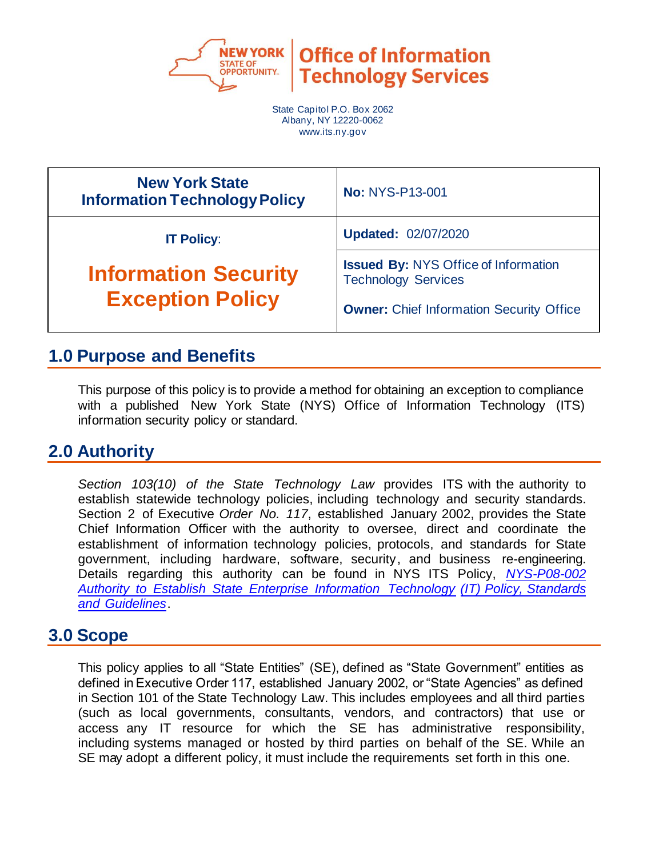

**Office of Information Technology Services** 

State Capitol P.O. Box 2062 Albany, NY 12220-0062 www.its.ny.gov

| <b>New York State</b><br><b>Information Technology Policy</b> | <b>No: NYS-P13-001</b>                                                                                                       |  |
|---------------------------------------------------------------|------------------------------------------------------------------------------------------------------------------------------|--|
| <b>IT Policy:</b>                                             | <b>Updated: 02/07/2020</b>                                                                                                   |  |
| <b>Information Security</b><br><b>Exception Policy</b>        | <b>Issued By: NYS Office of Information</b><br><b>Technology Services</b><br><b>Owner: Chief Information Security Office</b> |  |

## **1.0 Purpose and Benefits**

This purpose of this policy is to provide a method for obtaining an exception to compliance with a published New York State (NYS) Office of Information Technology (ITS) information security policy or standard.

### **2.0 Authority**

*Section 103(10) of the State Technology Law* provides ITS with the authority to establish statewide technology policies, including technology and security standards. Section 2 of Executive *Order No. 117*, established January 2002, provides the State Chief Information Officer with the authority to oversee, direct and coordinate the establishment of information technology policies, protocols, and standards for State government, including hardware, software, security, and business re-engineering. Details regarding this authority can be found in NYS ITS Policy, *NYS-P08-002 Author[ity to Establish State Enterprise Information Technology \(IT\) Policy, Standards](https://its.ny.gov/document/authority-establish-state-enterprise-information-technology-it-policy-standards-and-guidelines)  [and Guidelines](https://its.ny.gov/document/authority-establish-state-enterprise-information-technology-it-policy-standards-and-guidelines)*.

### **3.0 Scope**

This policy applies to all "State Entities" (SE), defined as "State Government" entities as defined in Executive Order 117, established January 2002, or "State Agencies" as defined in Section 101 of the State Technology Law. This includes employees and all third parties (such as local governments, consultants, vendors, and contractors) that use or access any IT resource for which the SE has administrative responsibility, including systems managed or hosted by third parties on behalf of the SE. While an SE may adopt a different policy, it must include the requirements set forth in this one.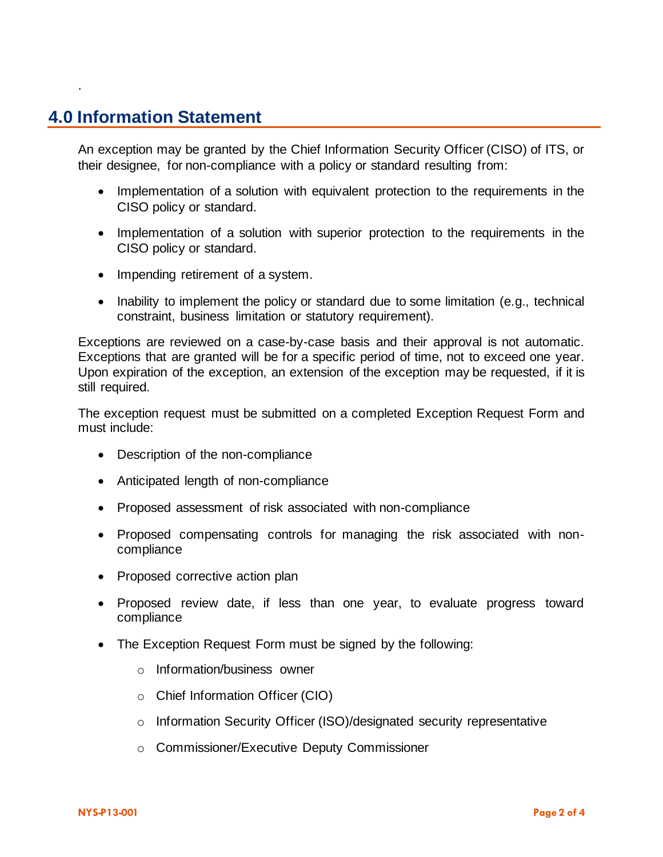## **4.0 Information Statement**

.

An exception may be granted by the Chief Information Security Officer (CISO) of ITS, or their designee, for non-compliance with a policy or standard resulting from:

- Implementation of a solution with equivalent protection to the requirements in the CISO policy or standard.
- Implementation of a solution with superior protection to the requirements in the CISO policy or standard.
- Impending retirement of a system.
- Inability to implement the policy or standard due to some limitation (e.g., technical constraint, business limitation or statutory requirement).

Exceptions are reviewed on a case-by-case basis and their approval is not automatic. Exceptions that are granted will be for a specific period of time, not to exceed one year. Upon expiration of the exception, an extension of the exception may be requested, if it is still required.

The exception request must be submitted on a completed Exception Request Form and must include:

- Description of the non-compliance
- Anticipated length of non-compliance
- Proposed assessment of risk associated with non-compliance
- Proposed compensating controls for managing the risk associated with noncompliance
- Proposed corrective action plan
- Proposed review date, if less than one year, to evaluate progress toward compliance
- The Exception Request Form must be signed by the following:
	- o Information/business owner
	- o Chief Information Officer (CIO)
	- o Information Security Officer (ISO)/designated security representative
	- o Commissioner/Executive Deputy Commissioner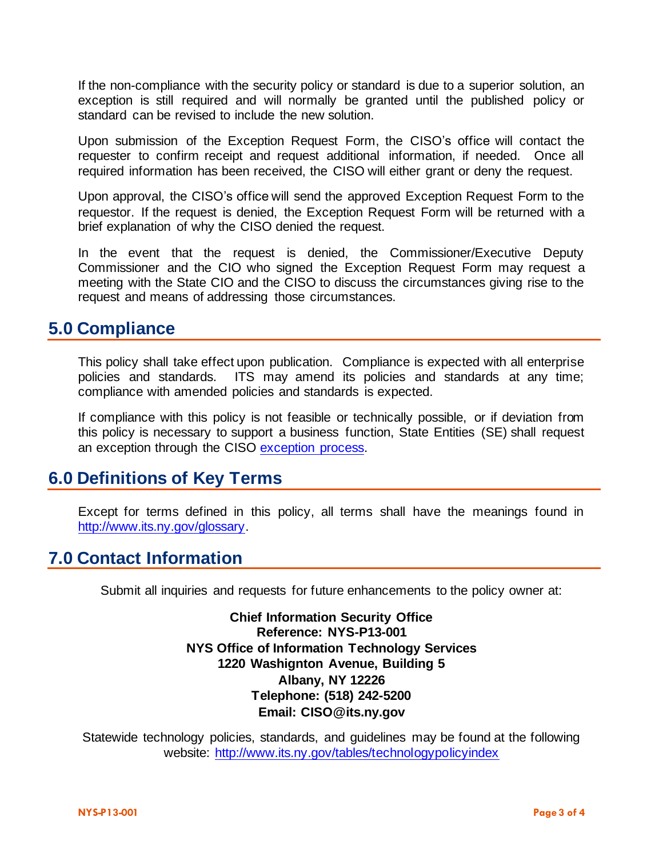If the non-compliance with the security policy or standard is due to a superior solution, an exception is still required and will normally be granted until the published policy or standard can be revised to include the new solution.

Upon submission of the Exception Request Form, the CISO's office will contact the requester to confirm receipt and request additional information, if needed. Once all required information has been received, the CISO will either grant or deny the request.

Upon approval, the CISO's office will send the approved Exception Request Form to the requestor. If the request is denied, the Exception Request Form will be returned with a brief explanation of why the CISO denied the request.

In the event that the request is denied, the Commissioner/Executive Deputy Commissioner and the CIO who signed the Exception Request Form may request a meeting with the State CIO and the CISO to discuss the circumstances giving rise to the request and means of addressing those circumstances.

#### **5.0 Compliance**

This policy shall take effect upon publication. Compliance is expected with all enterprise policies and standards. ITS may amend its policies and standards at any time; compliance with amended policies and standards is expected.

If compliance with this policy is not feasible or technically possible, or if deviation from this policy is necessary to support a business function, State Entities (SE) shall request an exception through the CISO [exception process.](http://www.its.ny.gov/document/information-security-exception-policy)

#### **6.0 Definitions of Key Terms**

Except for terms defined in this policy, all terms shall have the meanings found in [http://www.its.ny.gov/glossary.](http://www.its.ny.gov/glossary)

### **7.0 Contact Information**

Submit all inquiries and requests for future enhancements to the policy owner at:

**Chief Information Security Office Reference: NYS-P13-001 NYS Office of Information Technology Services 1220 Washignton Avenue, Building 5 Albany, NY 12226 Telephone: (518) 242-5200 Email: CISO@its.ny.gov**

Statewide technology policies, standards, and guidelines may be found at the following website: <http://www.its.ny.gov/tables/technologypolicyindex>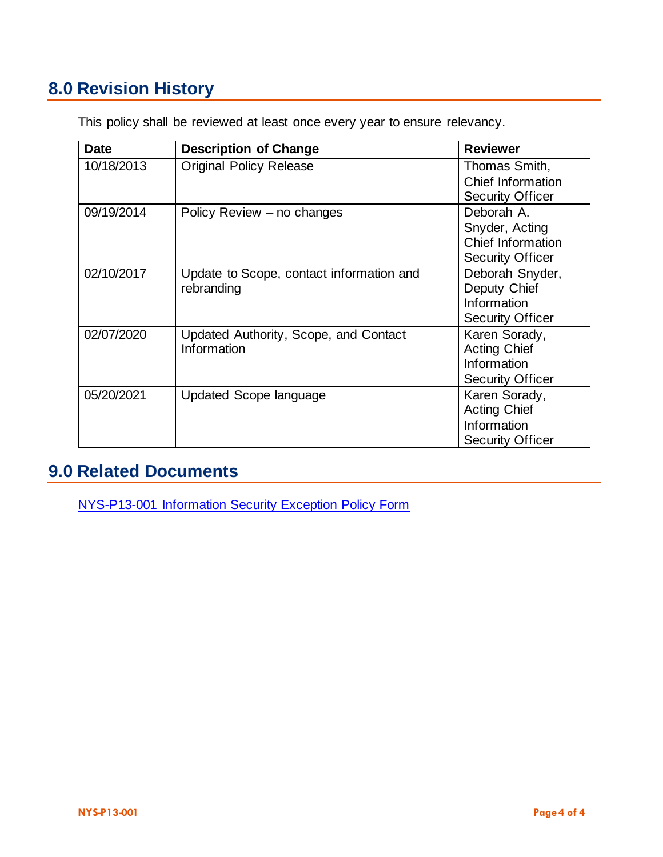# **8.0 Revision History**

| <b>Date</b> | <b>Description of Change</b>                           | <b>Reviewer</b>                                                                |
|-------------|--------------------------------------------------------|--------------------------------------------------------------------------------|
| 10/18/2013  | <b>Original Policy Release</b>                         | Thomas Smith,<br>Chief Information<br><b>Security Officer</b>                  |
| 09/19/2014  | Policy Review – no changes                             | Deborah A.<br>Snyder, Acting<br>Chief Information<br><b>Security Officer</b>   |
| 02/10/2017  | Update to Scope, contact information and<br>rebranding | Deborah Snyder,<br>Deputy Chief<br>Information<br><b>Security Officer</b>      |
| 02/07/2020  | Updated Authority, Scope, and Contact<br>Information   | Karen Sorady,<br><b>Acting Chief</b><br>Information<br><b>Security Officer</b> |
| 05/20/2021  | Updated Scope language                                 | Karen Sorady,<br><b>Acting Chief</b><br>Information<br><b>Security Officer</b> |

This policy shall be reviewed at least once every year to ensure relevancy.

### **9.0 Related Documents**

[NYS-P13-001 Information Security Exception Policy Form](https://nysemail.sharepoint.com/:b:/r/sites/myITS/InsideEdge/Documents/NYS-P13-001%20Information%20Security%20Exception%20Policy%20Form.pdf?csf=1&web=1)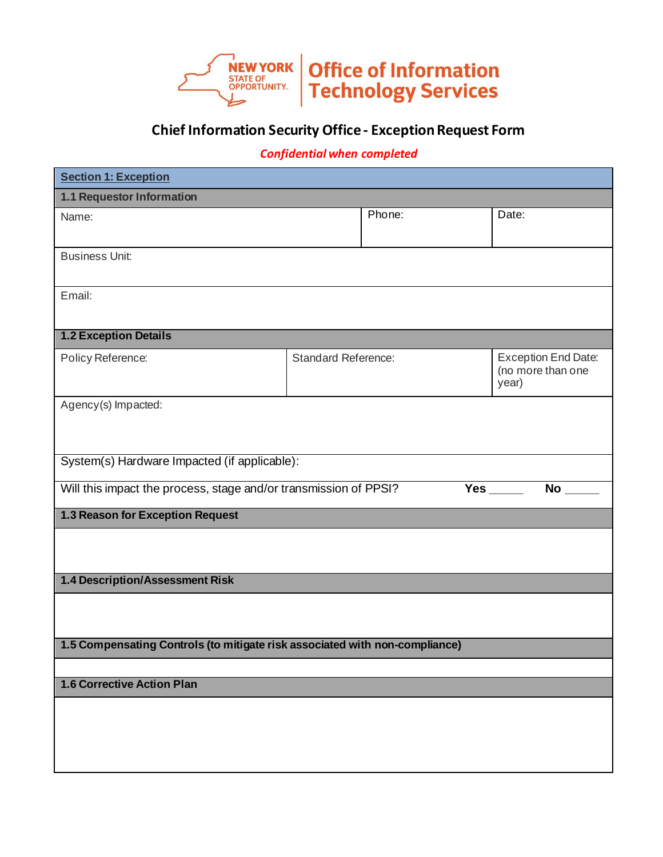

#### **Chief Information Security Office - Exception Request Form**

#### *Confidential when completed*

| <b>Section 1: Exception</b>                                                 |                            |        |                                                          |           |  |
|-----------------------------------------------------------------------------|----------------------------|--------|----------------------------------------------------------|-----------|--|
| 1.1 Requestor Information                                                   |                            |        |                                                          |           |  |
| Name:                                                                       |                            | Phone: |                                                          | Date:     |  |
| <b>Business Unit:</b>                                                       |                            |        |                                                          |           |  |
| Email:                                                                      |                            |        |                                                          |           |  |
| <b>1.2 Exception Details</b>                                                |                            |        |                                                          |           |  |
| Policy Reference:                                                           | <b>Standard Reference:</b> |        | <b>Exception End Date:</b><br>(no more than one<br>year) |           |  |
| Agency(s) Impacted:                                                         |                            |        |                                                          |           |  |
| System(s) Hardware Impacted (if applicable):                                |                            |        |                                                          |           |  |
| Will this impact the process, stage and/or transmission of PPSI?            |                            |        |                                                          | <b>No</b> |  |
| 1.3 Reason for Exception Request                                            |                            |        |                                                          |           |  |
|                                                                             |                            |        |                                                          |           |  |
| 1.4 Description/Assessment Risk                                             |                            |        |                                                          |           |  |
|                                                                             |                            |        |                                                          |           |  |
| 1.5 Compensating Controls (to mitigate risk associated with non-compliance) |                            |        |                                                          |           |  |
|                                                                             |                            |        |                                                          |           |  |
| 1.6 Corrective Action Plan                                                  |                            |        |                                                          |           |  |
|                                                                             |                            |        |                                                          |           |  |
|                                                                             |                            |        |                                                          |           |  |
|                                                                             |                            |        |                                                          |           |  |